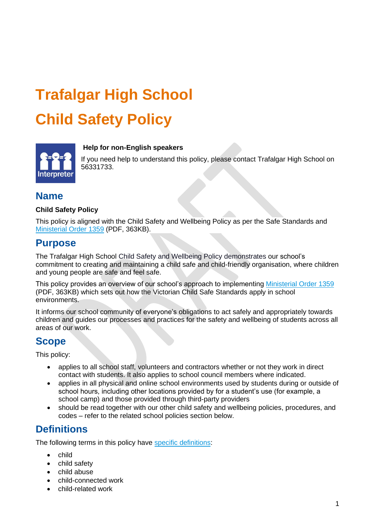# **Trafalgar High School Child Safety Policy**



#### **Help for non-English speakers**

If you need help to understand this policy, please contact Trafalgar High School on 56331733.

## **Name**

#### **Child Safety Policy**

This policy is aligned with the Child Safety and Wellbeing Policy as per the Safe Standards and [Ministerial Order 1359](https://www.education.vic.gov.au/Documents/about/programs/health/protect/Ministerial_Order.pdf) (PDF, 363KB).

## **Purpose**

The Trafalgar High School Child Safety and Wellbeing Policy demonstrates our school's commitment to creating and maintaining a child safe and child-friendly organisation, where children and young people are safe and feel safe.

This policy provides an overview of our school's approach to implementing [Ministerial Order 1359](https://www.education.vic.gov.au/Documents/about/programs/health/protect/Ministerial_Order.pdf) (PDF, 363KB) which sets out how the Victorian Child Safe Standards apply in school environments.

It informs our school community of everyone's obligations to act safely and appropriately towards children and guides our processes and practices for the safety and wellbeing of students across all areas of our work.

## **Scope**

This policy:

- applies to all school staff, volunteers and contractors whether or not they work in direct contact with students. It also applies to school council members where indicated.
- applies in all physical and online school environments used by students during or outside of school hours, including other locations provided by for a student's use (for example, a school camp) and those provided through third-party providers
- should be read together with our other child safety and wellbeing policies, procedures, and codes – refer to the related school policies section below.

## **Definitions**

The following terms in this policy have [specific definitions:](https://www.vic.gov.au/child-safe-standards-definitions)

- child
- child safety
- child abuse
- child-connected work
- child-related work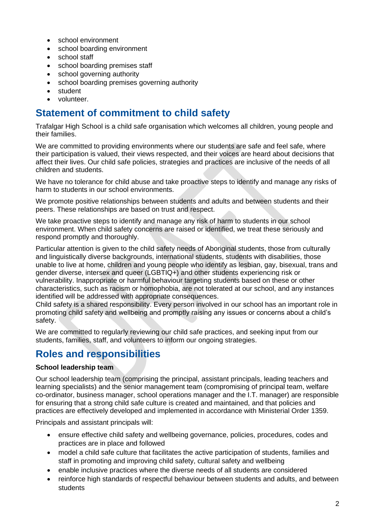- school environment
- school boarding environment
- school staff
- school boarding premises staff
- school governing authority
- school boarding premises governing authority
- student
- volunteer.

## **Statement of commitment to child safety**

Trafalgar High School is a child safe organisation which welcomes all children, young people and their families.

We are committed to providing environments where our students are safe and feel safe, where their participation is valued, their views respected, and their voices are heard about decisions that affect their lives. Our child safe policies, strategies and practices are inclusive of the needs of all children and students.

We have no tolerance for child abuse and take proactive steps to identify and manage any risks of harm to students in our school environments.

We promote positive relationships between students and adults and between students and their peers. These relationships are based on trust and respect.

We take proactive steps to identify and manage any risk of harm to students in our school environment. When child safety concerns are raised or identified, we treat these seriously and respond promptly and thoroughly.

Particular attention is given to the child safety needs of Aboriginal students, those from culturally and linguistically diverse backgrounds, international students, students with disabilities, those unable to live at home, children and young people who identify as lesbian, gay, bisexual, trans and gender diverse, intersex and queer (LGBTIQ+) and other students experiencing risk or vulnerability. Inappropriate or harmful behaviour targeting students based on these or other characteristics, such as racism or homophobia, are not tolerated at our school, and any instances identified will be addressed with appropriate consequences.

Child safety is a shared responsibility. Every person involved in our school has an important role in promoting child safety and wellbeing and promptly raising any issues or concerns about a child's safety.

We are committed to regularly reviewing our child safe practices, and seeking input from our students, families, staff, and volunteers to inform our ongoing strategies.

# **Roles and responsibilities**

#### **School leadership team**

Our school leadership team (comprising the principal, assistant principals, leading teachers and learning specialists) and the senior management team (compromising of principal team, welfare co-ordinator, business manager, school operations manager and the I.T. manager) are responsible for ensuring that a strong child safe culture is created and maintained, and that policies and practices are effectively developed and implemented in accordance with Ministerial Order 1359.

Principals and assistant principals will:

- ensure effective child safety and wellbeing governance, policies, procedures, codes and practices are in place and followed
- model a child safe culture that facilitates the active participation of students, families and staff in promoting and improving child safety, cultural safety and wellbeing
- enable inclusive practices where the diverse needs of all students are considered
- reinforce high standards of respectful behaviour between students and adults, and between students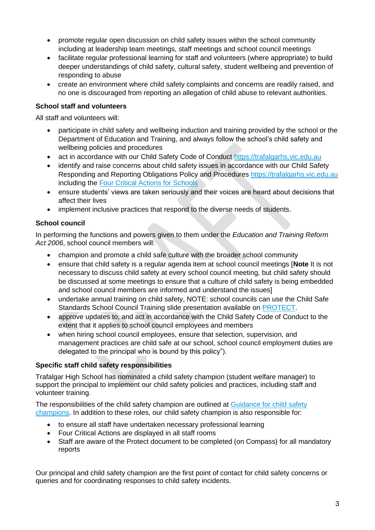- promote regular open discussion on child safety issues within the school community including at leadership team meetings, staff meetings and school council meetings
- facilitate regular professional learning for staff and volunteers (where appropriate) to build deeper understandings of child safety, cultural safety, student wellbeing and prevention of responding to abuse
- create an environment where child safety complaints and concerns are readily raised, and no one is discouraged from reporting an allegation of child abuse to relevant authorities.

#### **School staff and volunteers**

All staff and volunteers will:

- participate in child safety and wellbeing induction and training provided by the school or the Department of Education and Training, and always follow the school's child safety and wellbeing policies and procedures
- act in accordance with our Child Safety Code of Conduct [https://trafalgarhs.vic.edu.au](https://trafalgarhs.vic.edu.au/)
- identify and raise concerns about child safety issues in accordance with our Child Safety Responding and Reporting Obligations Policy and Procedures [https://trafalgarhs.vic.edu.au](https://trafalgarhs.vic.edu.au/) including the [Four Critical Actions for Schools](https://www.education.vic.gov.au/school/teachers/health/childprotection/Pages/report.aspx)
- ensure students' views are taken seriously and their voices are heard about decisions that affect their lives
- implement inclusive practices that respond to the diverse needs of students.

#### **School council**

In performing the functions and powers given to them under the *Education and Training Reform Act 2006*, school council members will:

- champion and promote a child safe culture with the broader school community
- ensure that child safety is a regular agenda item at school council meetings [**Note** It is not necessary to discuss child safety at every school council meeting, but child safety should be discussed at some meetings to ensure that a culture of child safety is being embedded and school council members are informed and understand the issues]
- undertake annual training on child safety, NOTE: school councils can use the Child Safe Standards School Council Training slide presentation available on [PROTECT.](http://www.vic.gov.au/protect)
- approve updates to, and act in accordance with the Child Safety Code of Conduct to the extent that it applies to school council employees and members
- when hiring school council employees, ensure that selection, supervision, and management practices are child safe at our school, school council employment duties are delegated to the principal who is bound by this policy").

#### **Specific staff child safety responsibilities**

Trafalgar High School has nominated a child safety champion (student welfare manager) to support the principal to implement our child safety policies and practices, including staff and volunteer training.

The responsibilities of the child safety champion are outlined at [Guidance for child safety](https://www.vic.gov.au/guidance-child-safety-champions)  [champions.](https://www.vic.gov.au/guidance-child-safety-champions) In addition to these roles, our child safety champion is also responsible for:

- to ensure all staff have undertaken necessary professional learning
- Four Critical Actions are displayed in all staff rooms
- Staff are aware of the Protect document to be completed (on Compass) for all mandatory reports

Our principal and child safety champion are the first point of contact for child safety concerns or queries and for coordinating responses to child safety incidents.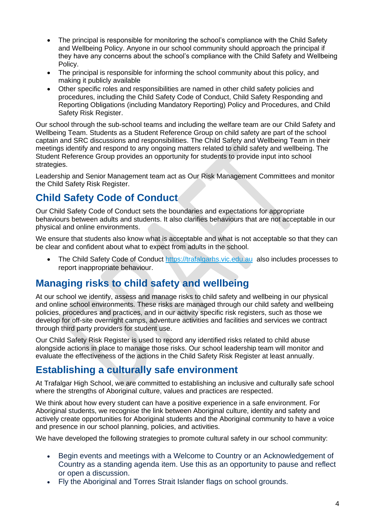- The principal is responsible for monitoring the school's compliance with the Child Safety and Wellbeing Policy. Anyone in our school community should approach the principal if they have any concerns about the school's compliance with the Child Safety and Wellbeing Policy.
- The principal is responsible for informing the school community about this policy, and making it publicly available
- Other specific roles and responsibilities are named in other child safety policies and procedures, including the Child Safety Code of Conduct, Child Safety Responding and Reporting Obligations (including Mandatory Reporting) Policy and Procedures, and Child Safety Risk Register.

Our school through the sub-school teams and including the welfare team are our Child Safety and Wellbeing Team. Students as a Student Reference Group on child safety are part of the school captain and SRC discussions and responsibilities. The Child Safety and Wellbeing Team in their meetings identify and respond to any ongoing matters related to child safety and wellbeing. The Student Reference Group provides an opportunity for students to provide input into school strategies.

Leadership and Senior Management team act as Our Risk Management Committees and monitor the Child Safety Risk Register.

# **Child Safety Code of Conduct**

Our Child Safety Code of Conduct sets the boundaries and expectations for appropriate behaviours between adults and students. It also clarifies behaviours that are not acceptable in our physical and online environments.

We ensure that students also know what is acceptable and what is not acceptable so that they can be clear and confident about what to expect from adults in the school.

• The Child Safety Code of Conduct [https://trafalgarhs.vic.edu.au](https://trafalgarhs.vic.edu.au/) also includes processes to report inappropriate behaviour.

# **Managing risks to child safety and wellbeing**

At our school we identify, assess and manage risks to child safety and wellbeing in our physical and online school environments. These risks are managed through our child safety and wellbeing policies, procedures and practices, and in our activity specific risk registers, such as those we develop for off-site overnight camps, adventure activities and facilities and services we contract through third party providers for student use.

Our Child Safety Risk Register is used to record any identified risks related to child abuse alongside actions in place to manage those risks. Our school leadership team will monitor and evaluate the effectiveness of the actions in the Child Safety Risk Register at least annually.

## **Establishing a culturally safe environment**

At Trafalgar High School, we are committed to establishing an inclusive and culturally safe school where the strengths of Aboriginal culture, values and practices are respected.

We think about how every student can have a positive experience in a safe environment. For Aboriginal students, we recognise the link between Aboriginal culture, identity and safety and actively create opportunities for Aboriginal students and the Aboriginal community to have a voice and presence in our school planning, policies, and activities.

We have developed the following strategies to promote cultural safety in our school community:

- Begin events and meetings with a Welcome to Country or an Acknowledgement of Country as a standing agenda item. Use this as an opportunity to pause and reflect or open a discussion.
- Fly the Aboriginal and Torres Strait Islander flags on school grounds.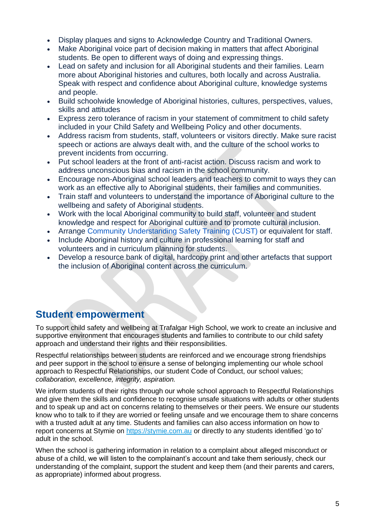- Display plaques and signs to Acknowledge Country and Traditional Owners.
- Make Aboriginal voice part of decision making in matters that affect Aboriginal students. Be open to different ways of doing and expressing things.
- Lead on safety and inclusion for all Aboriginal students and their families. Learn more about Aboriginal histories and cultures, both locally and across Australia. Speak with respect and confidence about Aboriginal culture, knowledge systems and people.
- Build schoolwide knowledge of Aboriginal histories, cultures, perspectives, values, skills and attitudes
- Express zero tolerance of racism in your statement of commitment to child safety included in your Child Safety and Wellbeing Policy and other documents.
- Address racism from students, staff, volunteers or visitors directly. Make sure racist speech or actions are always dealt with, and the culture of the school works to prevent incidents from occurring.
- Put school leaders at the front of anti-racist action. Discuss racism and work to address unconscious bias and racism in the school community.
- Encourage non-Aboriginal school leaders and teachers to commit to ways they can work as an effective ally to Aboriginal students, their families and communities.
- Train staff and volunteers to understand the importance of Aboriginal culture to the wellbeing and safety of Aboriginal students.
- Work with the local Aboriginal community to build staff, volunteer and student knowledge and respect for Aboriginal culture and to promote cultural inclusion.
- Arrange [Community Understanding Safety Training](https://www.vaeai.org.au/community-understanding-safety-training-online-information-session/) (CUST) or equivalent for staff.
- Include Aboriginal history and culture in professional learning for staff and volunteers and in curriculum planning for students.
- Develop a resource bank of digital, hardcopy print and other artefacts that support the inclusion of Aboriginal content across the curriculum.

# **Student empowerment**

To support child safety and wellbeing at Trafalgar High School, we work to create an inclusive and supportive environment that encourages students and families to contribute to our child safety approach and understand their rights and their responsibilities.

Respectful relationships between students are reinforced and we encourage strong friendships and peer support in the school to ensure a sense of belonging implementing our whole school approach to Respectful Relationships, our student Code of Conduct, our school values; *collaboration, excellence, integrity, aspiration.*

We inform students of their rights through our whole school approach to Respectful Relationships and give them the skills and confidence to recognise unsafe situations with adults or other students and to speak up and act on concerns relating to themselves or their peers. We ensure our students know who to talk to if they are worried or feeling unsafe and we encourage them to share concerns with a trusted adult at any time. Students and families can also access information on how to report concerns at Stymie on [https://stymie.com.au](https://stymie.com.au/) or directly to any students identified 'go to' adult in the school.

When the school is gathering information in relation to a complaint about alleged misconduct or abuse of a child, we will listen to the complainant's account and take them seriously, check our understanding of the complaint, support the student and keep them (and their parents and carers, as appropriate) informed about progress.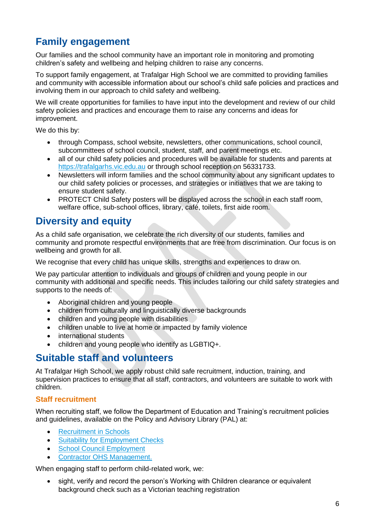# **Family engagement**

Our families and the school community have an important role in monitoring and promoting children's safety and wellbeing and helping children to raise any concerns.

To support family engagement, at Trafalgar High School we are committed to providing families and community with accessible information about our school's child safe policies and practices and involving them in our approach to child safety and wellbeing.

We will create opportunities for families to have input into the development and review of our child safety policies and practices and encourage them to raise any concerns and ideas for improvement.

We do this by:

- through Compass, school website, newsletters, other communications, school council, subcommittees of school council, student, staff, and parent meetings etc.
- all of our child safety policies and procedures will be available for students and parents at [https://trafalgarhs.vic.edu.au](https://trafalgarhs.vic.edu.au/) or through school reception on 56331733.
- Newsletters will inform families and the school community about any significant updates to our child safety policies or processes, and strategies or initiatives that we are taking to ensure student safety.
- PROTECT Child Safety posters will be displayed across the school in each staff room, welfare office, sub-school offices, library, café, toilets, first aide room.

## **Diversity and equity**

As a child safe organisation, we celebrate the rich diversity of our students, families and community and promote respectful environments that are free from discrimination. Our focus is on wellbeing and growth for all.

We recognise that every child has unique skills, strengths and experiences to draw on.

We pay particular attention to individuals and groups of children and young people in our community with additional and specific needs. This includes tailoring our child safety strategies and supports to the needs of:

- Aboriginal children and young people
- children from culturally and linguistically diverse backgrounds
- children and young people with disabilities
- children unable to live at home or impacted by family violence
- international students
- children and young people who identify as LGBTIQ+.

## **Suitable staff and volunteers**

At Trafalgar High School, we apply robust child safe recruitment, induction, training, and supervision practices to ensure that all staff, contractors, and volunteers are suitable to work with children.

#### **Staff recruitment**

When recruiting staff, we follow the Department of Education and Training's recruitment policies and guidelines, available on the Policy and Advisory Library (PAL) at:

- [Recruitment in Schools](https://www2.education.vic.gov.au/pal/recruitment-schools/overview)
- [Suitability for Employment Checks](https://www2.education.vic.gov.au/pal/suitability-employment-checks/overview)
- [School Council Employment](https://www2.education.vic.gov.au/pal/school-council-employment/overview)
- [Contractor OHS Management.](https://www2.education.vic.gov.au/pal/contractor-ohs-management/policy)

When engaging staff to perform child-related work, we:

• sight, verify and record the person's Working with Children clearance or equivalent background check such as a Victorian teaching registration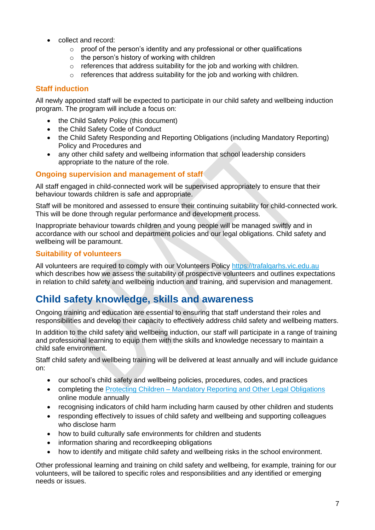- collect and record:
	- $\circ$  proof of the person's identity and any professional or other qualifications
	- o the person's history of working with children
	- o references that address suitability for the job and working with children.
	- $\circ$  references that address suitability for the job and working with children.

### **Staff induction**

All newly appointed staff will be expected to participate in our child safety and wellbeing induction program. The program will include a focus on:

- the Child Safety Policy (this document)
- the Child Safety Code of Conduct
- the Child Safety Responding and Reporting Obligations (including Mandatory Reporting) Policy and Procedures and
- any other child safety and wellbeing information that school leadership considers appropriate to the nature of the role.

#### **Ongoing supervision and management of staff**

All staff engaged in child-connected work will be supervised appropriately to ensure that their behaviour towards children is safe and appropriate.

Staff will be monitored and assessed to ensure their continuing suitability for child-connected work. This will be done through regular performance and development process.

Inappropriate behaviour towards children and young people will be managed swiftly and in accordance with our school and department policies and our legal obligations. Child safety and wellbeing will be paramount.

#### **Suitability of volunteers**

All volunteers are required to comply with our Volunteers Policy [https://trafalgarhs.vic.edu.au](https://trafalgarhs.vic.edu.au/) which describes how we assess the suitability of prospective volunteers and outlines expectations in relation to child safety and wellbeing induction and training, and supervision and management.

# **Child safety knowledge, skills and awareness**

Ongoing training and education are essential to ensuring that staff understand their roles and responsibilities and develop their capacity to effectively address child safety and wellbeing matters.

In addition to the child safety and wellbeing induction, our staff will participate in a range of training and professional learning to equip them with the skills and knowledge necessary to maintain a child safe environment.

Staff child safety and wellbeing training will be delivered at least annually and will include guidance on:

- our school's child safety and wellbeing policies, procedures, codes, and practices
- completing the Protecting Children [Mandatory Reporting and Other](http://elearn.com.au/det/protectingchildren/) Legal Obligations online module annually
- recognising indicators of child harm including harm caused by other children and students
- responding effectively to issues of child safety and wellbeing and supporting colleagues who disclose harm
- how to build culturally safe environments for children and students
- information sharing and recordkeeping obligations
- how to identify and mitigate child safety and wellbeing risks in the school environment.

Other professional learning and training on child safety and wellbeing, for example, training for our volunteers, will be tailored to specific roles and responsibilities and any identified or emerging needs or issues.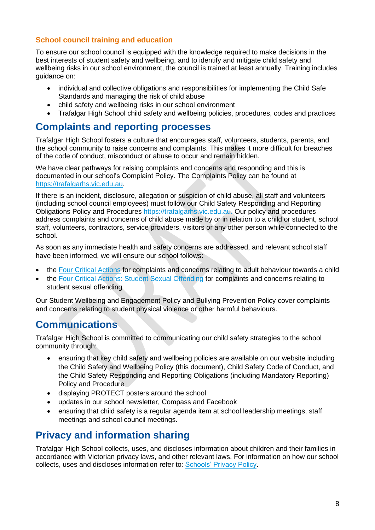## **School council training and education**

To ensure our school council is equipped with the knowledge required to make decisions in the best interests of student safety and wellbeing, and to identify and mitigate child safety and wellbeing risks in our school environment, the council is trained at least annually. Training includes guidance on:

- individual and collective obligations and responsibilities for implementing the Child Safe Standards and managing the risk of child abuse
- child safety and wellbeing risks in our school environment
- Trafalgar High School child safety and wellbeing policies, procedures, codes and practices

## **Complaints and reporting processes**

Trafalgar High School fosters a culture that encourages staff, volunteers, students, parents, and the school community to raise concerns and complaints. This makes it more difficult for breaches of the code of conduct, misconduct or abuse to occur and remain hidden.

We have clear pathways for raising complaints and concerns and responding and this is documented in our school's Complaint Policy. The Complaints Policy can be found at [https://trafalgarhs.vic.edu.au.](https://trafalgarhs.vic.edu.au/)

If there is an incident, disclosure, allegation or suspicion of child abuse, all staff and volunteers (including school council employees) must follow our Child Safety Responding and Reporting Obligations Policy and Procedures [https://trafalgarhs.vic.edu.au.](https://trafalgarhs.vic.edu.au/) Our policy and procedures address complaints and concerns of child abuse made by or in relation to a child or student, school staff, volunteers, contractors, service providers, visitors or any other person while connected to the school.

As soon as any immediate health and safety concerns are addressed, and relevant school staff have been informed, we will ensure our school follows:

- the [Four Critical Actions](https://www.education.vic.gov.au/Documents/about/programs/health/protect/FourCriticalActions_ChildAbuse.pdf) for complaints and concerns relating to adult behaviour towards a child
- the [Four Critical Actions: Student Sexual Offending](https://www.education.vic.gov.au/school/teachers/health/childprotection/Pages/stusexual.aspx) for complaints and concerns relating to student sexual offending

Our Student Wellbeing and Engagement Policy and Bullying Prevention Policy cover complaints and concerns relating to student physical violence or other harmful behaviours.

## **Communications**

Trafalgar High School is committed to communicating our child safety strategies to the school community through:

- ensuring that key child safety and wellbeing policies are available on our website including the Child Safety and Wellbeing Policy (this document), Child Safety Code of Conduct, and the Child Safety Responding and Reporting Obligations (including Mandatory Reporting) Policy and Procedure
- displaying PROTECT posters around the school
- updates in our school newsletter, Compass and Facebook
- ensuring that child safety is a regular agenda item at school leadership meetings, staff meetings and school council meetings.

# **Privacy and information sharing**

Trafalgar High School collects, uses, and discloses information about children and their families in accordance with Victorian privacy laws, and other relevant laws. For information on how our school collects, uses and discloses information refer to: [Schools' Privacy Policy.](https://www.education.vic.gov.au/Pages/schoolsprivacypolicy.aspx)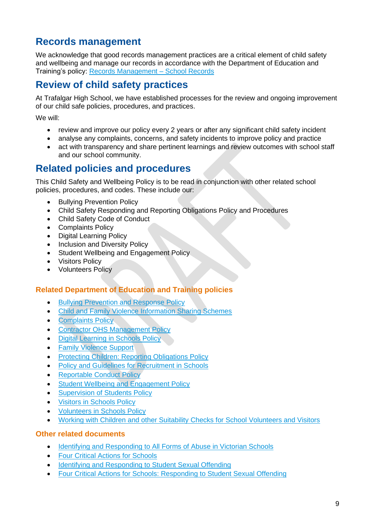# **Records management**

We acknowledge that good records management practices are a critical element of child safety and wellbeing and manage our records in accordance with the Department of Education and Training's policy: Records Management - School Records

## **Review of child safety practices**

At Trafalgar High School, we have established processes for the review and ongoing improvement of our child safe policies, procedures, and practices.

We will:

- review and improve our policy every 2 years or after any significant child safety incident
- analyse any complaints, concerns, and safety incidents to improve policy and practice
- act with transparency and share pertinent learnings and review outcomes with school staff and our school community.

## **Related policies and procedures**

This Child Safety and Wellbeing Policy is to be read in conjunction with other related school policies, procedures, and codes. These include our:

- Bullying Prevention Policy
- Child Safety Responding and Reporting Obligations Policy and Procedures
- Child Safety Code of Conduct
- Complaints Policy
- Digital Learning Policy
- Inclusion and Diversity Policy
- Student Wellbeing and Engagement Policy
- Visitors Policy
- Volunteers Policy

#### **Related Department of Education and Training policies**

- [Bullying Prevention and Response Policy](https://www2.education.vic.gov.au/pal/bullying-prevention-response/policy)
- [Child and Family Violence Information Sharing Schemes](https://www2.education.vic.gov.au/pal/information-sharing-schemes/policy)
- [Complaints Policy](https://www2.education.vic.gov.au/pal/complaints/policy)
- [Contractor OHS Management Policy](https://www2.education.vic.gov.au/pal/contractor-ohs-management/policy)
- [Digital Learning in Schools Policy](https://www2.education.vic.gov.au/pal/digital-learning/policy)
- [Family Violence Support](https://www2.education.vic.gov.au/pal/family-violence-support/policy)
- [Protecting Children: Reporting Obligations Policy](https://www2.education.vic.gov.au/pal/protecting-children/policy)
- [Policy and Guidelines for Recruitment in Schools](https://www2.education.vic.gov.au/pal/recruitment-schools/policy-and-guidelines)
- [Reportable Conduct Policy](https://www2.education.vic.gov.au/pal/reportable-conduct-scheme/policy)
- Student [Wellbeing and Engagement Policy](https://www2.education.vic.gov.au/pal/student-engagement/policy)
- [Supervision of Students Policy](https://www2.education.vic.gov.au/pal/supervision-students/policy)
- [Visitors in Schools Policy](https://www2.education.vic.gov.au/pal/visitors/policy)
- [Volunteers in Schools Policy](https://www2.education.vic.gov.au/pal/volunteers/policy)
- [Working with Children and other Suitability Checks for School Volunteers and Visitors](https://www2.education.vic.gov.au/pal/suitability-checks/policy)

#### **Other related documents**

- [Identifying and Responding to All Forms of Abuse in Victorian Schools](https://www.education.vic.gov.au/Documents/about/programs/health/protect/ChildSafeStandard5_SchoolsGuide.pdf)
- [Four Critical Actions for Schools](https://www.education.vic.gov.au/Documents/about/programs/health/protect/FourCriticalActions_ChildAbuse.pdf)
- [Identifying and Responding to Student Sexual Offending](https://www.education.vic.gov.au/Documents/about/programs/health/protect/SSO_Policy.pdf)
- [Four Critical Actions for Schools: Responding to Student Sexual Offending](https://www.education.vic.gov.au/Documents/about/programs/health/protect/FourCriticalActions_SSO.pdf)